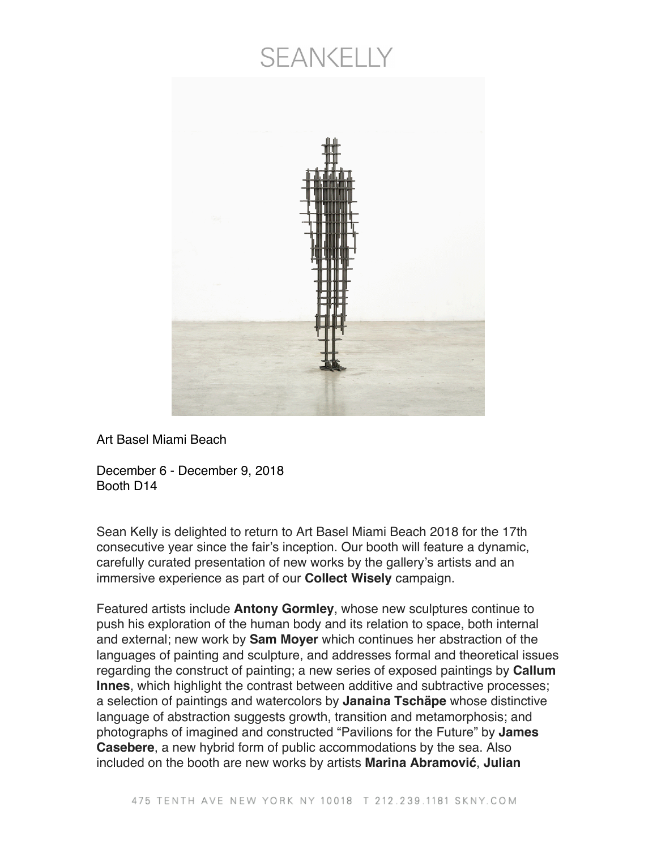## **SEANKELLY**



Art Basel Miami Beach

December 6 - December 9, 2018 Booth D14

Sean Kelly is delighted to return to Art Basel Miami Beach 2018 for the 17th consecutive year since the fair's inception. Our booth will feature a dynamic, carefully curated presentation of new works by the gallery's artists and an immersive experience as part of our **Collect Wisely** campaign.

Featured artists include **Antony Gormley**, whose new sculptures continue to push his exploration of the human body and its relation to space, both internal and external; new work by **Sam Moyer** which continues her abstraction of the languages of painting and sculpture, and addresses formal and theoretical issues regarding the construct of painting; a new series of exposed paintings by **Callum Innes**, which highlight the contrast between additive and subtractive processes; a selection of paintings and watercolors by **Janaina Tschäpe** whose distinctive language of abstraction suggests growth, transition and metamorphosis; and photographs of imagined and constructed "Pavilions for the Future" by **James Casebere**, a new hybrid form of public accommodations by the sea. Also included on the booth are new works by artists **Marina Abramović**, **Julian**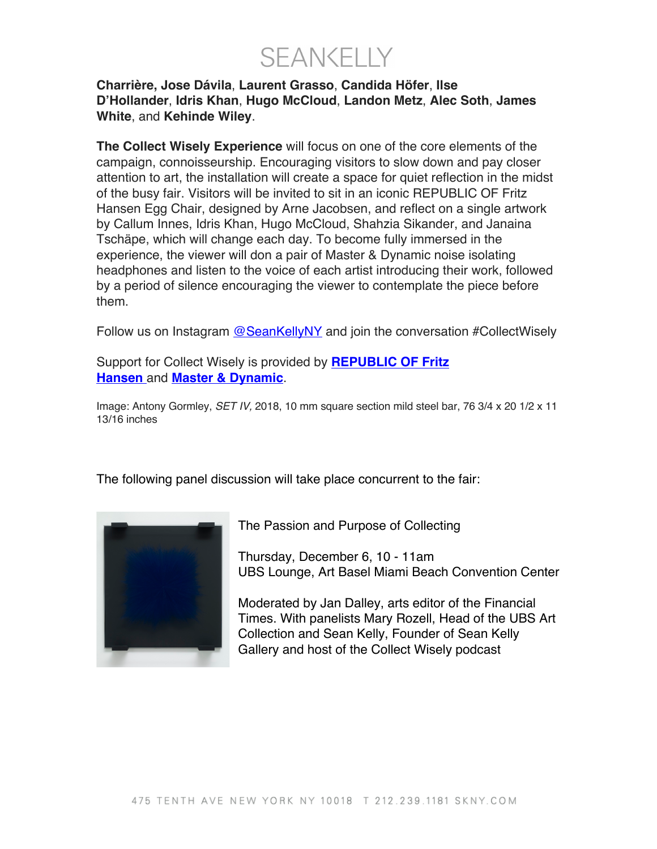**SEANKELLY** 

## **Charrière, Jose Dávila**, **Laurent Grasso**, **Candida Höfer**, **Ilse D'Hollander**, **Idris Khan**, **Hugo McCloud**, **Landon Metz**, **Alec Soth**, **James White**, and **Kehinde Wiley**.

**The Collect Wisely Experience** will focus on one of the core elements of the campaign, connoisseurship. Encouraging visitors to slow down and pay closer attention to art, the installation will create a space for quiet reflection in the midst of the busy fair. Visitors will be invited to sit in an iconic REPUBLIC OF Fritz Hansen Egg Chair, designed by Arne Jacobsen, and reflect on a single artwork by Callum Innes, Idris Khan, Hugo McCloud, Shahzia Sikander, and Janaina Tschäpe, which will change each day. To become fully immersed in the experience, the viewer will don a pair of Master & Dynamic noise isolating headphones and listen to the voice of each artist introducing their work, followed by a period of silence encouraging the viewer to contemplate the piece before them.

Follow us on Instagram @SeanKellyNY and join the conversation #CollectWisely

Support for Collect Wisely is provided by **REPUBLIC OF Fritz Hansen** and **Master & Dynamic**.

Image: Antony Gormley, *SET IV,* 2018, 10 mm square section mild steel bar, 76 3/4 x 20 1/2 x 11 13/16 inches

The following panel discussion will take place concurrent to the fair:



The Passion and Purpose of Collecting

Thursday, December 6, 10 - 11am UBS Lounge, Art Basel Miami Beach Convention Center

Moderated by Jan Dalley, arts editor of the Financial Times. With panelists Mary Rozell, Head of the UBS Art Collection and Sean Kelly, Founder of Sean Kelly Gallery and host of the Collect Wisely podcast